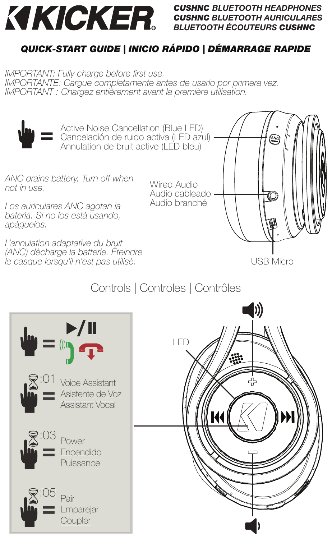

# *CUSHNC BLUETOOTH HEADPHONES CUSHNC BLUETOOTH AURICULARES BLUETOOTH ÉCOUTEURS CUSHNC*

# *QUICK-START GUIDE | INICIO RÁPIDO | DÉMARRAGE RAPIDE*

IMPORTANT: Fully charge before first use. IMPORTANTE: Cargue completamente antes de usarlo por primera vez. IMPORTANT : Chargez entièrement avant la première utilisation.



**=** Active Noise Cancellation (Blue LED)<br>
Cancelación de ruido activa (LED azul)<br>
Appulation de bruit activa (LED blou) Active Noise Cancellation (Blue LED) Annulation de bruit active (LED bleu)

ANC drains battery. Turn off when not in use.

Los auriculares ANC agotan la batería. Si no los está usando, apáguelos.

L'annulation adaptative du bruit (ANC) décharge la batterie. Éteindre le casque lorsqu'il n'est pas utilisé.

Wired Audio Audio cableado Audio branché



USB Micro



# Controls | Controles | Contrôles